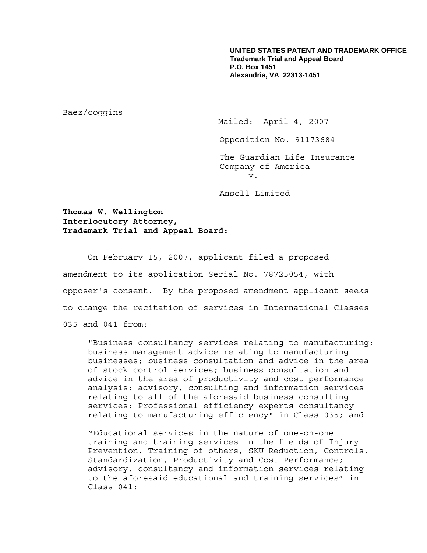**UNITED STATES PATENT AND TRADEMARK OFFICE Trademark Trial and Appeal Board P.O. Box 1451 Alexandria, VA 22313-1451**

Baez/coggins

Mailed: April 4, 2007

Opposition No. 91173684

The Guardian Life Insurance Company of America v.

Ansell Limited

**Thomas W. Wellington Interlocutory Attorney, Trademark Trial and Appeal Board:**

 On February 15, 2007, applicant filed a proposed amendment to its application Serial No. 78725054, with opposer's consent. By the proposed amendment applicant seeks to change the recitation of services in International Classes 035 and 041 from:

"Business consultancy services relating to manufacturing; business management advice relating to manufacturing businesses; business consultation and advice in the area of stock control services; business consultation and advice in the area of productivity and cost performance analysis; advisory, consulting and information services relating to all of the aforesaid business consulting services; Professional efficiency experts consultancy relating to manufacturing efficiency" in Class 035; and

"Educational services in the nature of one-on-one training and training services in the fields of Injury Prevention, Training of others, SKU Reduction, Controls, Standardization, Productivity and Cost Performance; advisory, consultancy and information services relating to the aforesaid educational and training services" in Class 041;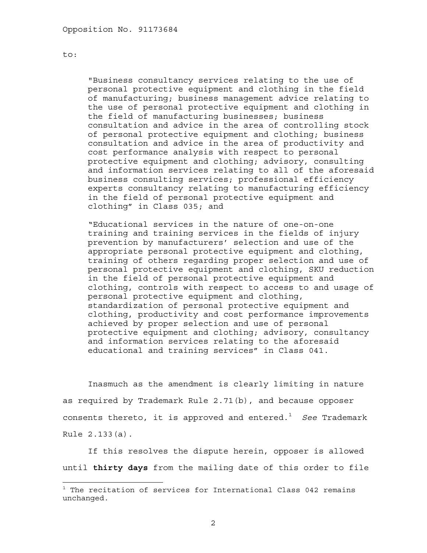to:

 $\overline{a}$ 

"Business consultancy services relating to the use of personal protective equipment and clothing in the field of manufacturing; business management advice relating to the use of personal protective equipment and clothing in the field of manufacturing businesses; business consultation and advice in the area of controlling stock of personal protective equipment and clothing; business consultation and advice in the area of productivity and cost performance analysis with respect to personal protective equipment and clothing; advisory, consulting and information services relating to all of the aforesaid business consulting services; professional efficiency experts consultancy relating to manufacturing efficiency in the field of personal protective equipment and clothing" in Class 035; and

"Educational services in the nature of one-on-one training and training services in the fields of injury prevention by manufacturers' selection and use of the appropriate personal protective equipment and clothing, training of others regarding proper selection and use of personal protective equipment and clothing, SKU reduction in the field of personal protective equipment and clothing, controls with respect to access to and usage of personal protective equipment and clothing, standardization of personal protective equipment and clothing, productivity and cost performance improvements achieved by proper selection and use of personal protective equipment and clothing; advisory, consultancy and information services relating to the aforesaid educational and training services" in Class 041.

Inasmuch as the amendment is clearly limiting in nature as required by Trademark Rule 2.71(b), and because opposer consents thereto, it is approved and entered.<sup>1</sup> See Trademark Rule 2.133(a).

 If this resolves the dispute herein, opposer is allowed until **thirty days** from the mailing date of this order to file

 $^1$  The recitation of services for International Class 042 remains unchanged.